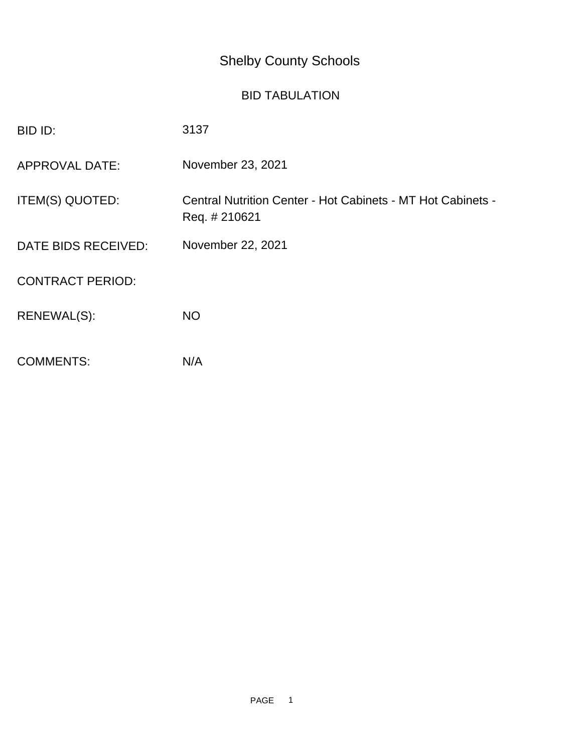## Shelby County Schools

## BID TABULATION

| BID ID:                 | 3137                                                                         |
|-------------------------|------------------------------------------------------------------------------|
| <b>APPROVAL DATE:</b>   | November 23, 2021                                                            |
| ITEM(S) QUOTED:         | Central Nutrition Center - Hot Cabinets - MT Hot Cabinets -<br>Req. # 210621 |
| DATE BIDS RECEIVED:     | November 22, 2021                                                            |
| <b>CONTRACT PERIOD:</b> |                                                                              |
| RENEWAL(S):             | <b>NO</b>                                                                    |
| <b>COMMENTS:</b>        | N/A                                                                          |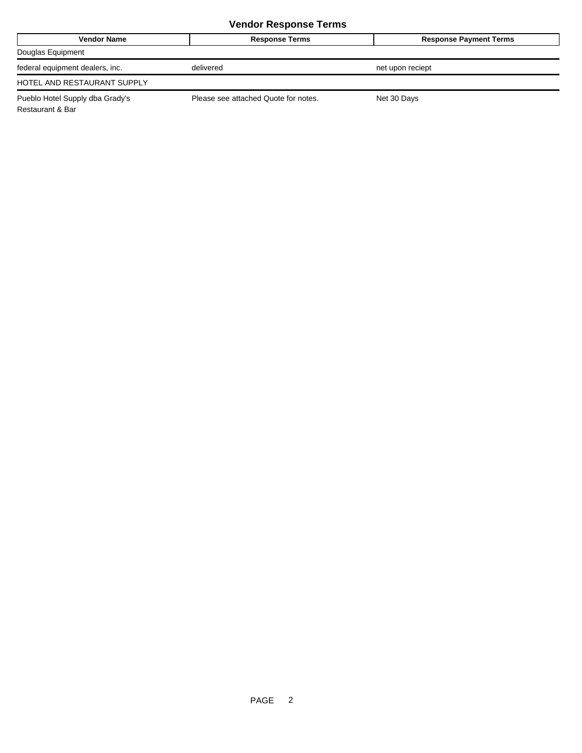## **Vendor Response Terms**

| <b>Vendor Name</b>              | <b>Response Terms</b>                | <b>Response Payment Terms</b> |
|---------------------------------|--------------------------------------|-------------------------------|
| Douglas Equipment               |                                      |                               |
| federal equipment dealers, inc. | delivered                            | net upon reciept              |
| HOTEL AND RESTAURANT SUPPLY     |                                      |                               |
| Pueblo Hotel Supply dba Grady's | Please see attached Quote for notes. | Net 30 Days                   |

Restaurant & Bar

PAGE 2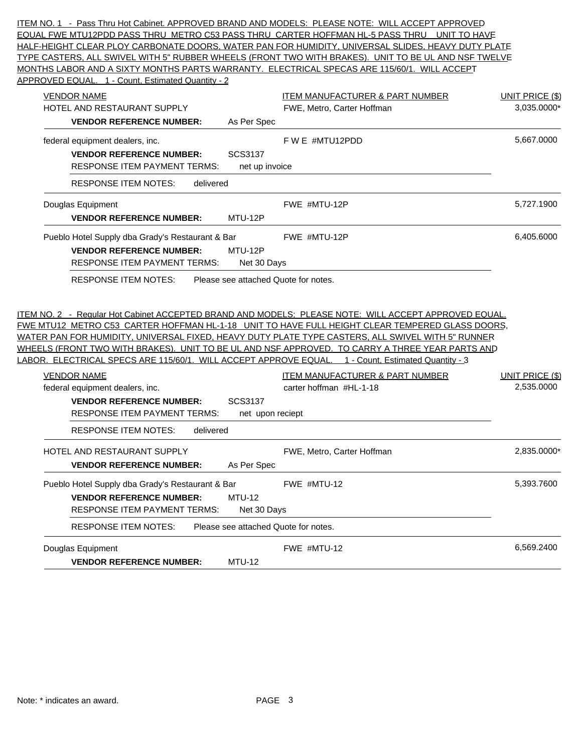ITEM NO. 1 - Pass Thru Hot Cabinet. APPROVED BRAND AND MODELS: PLEASE NOTE: WILL ACCEPT APPROVED EQUAL FWE MTU12PDD PASS THRU METRO C53 PASS THRU CARTER HOFFMAN HL-5 PASS THRU UNIT TO HAVE HALF-HEIGHT CLEAR PLOY CARBONATE DOORS, WATER PAN FOR HUMIDITY, UNIVERSAL SLIDES, HEAVY DUTY PLATE TYPE CASTERS, ALL SWIVEL WITH 5" RUBBER WHEELS (FRONT TWO WITH BRAKES). UNIT TO BE UL AND NSF TWELVE MONTHS LABOR AND A SIXTY MONTHS PARTS WARRANTY. ELECTRICAL SPECAS ARE 115/60/1. WILL ACCEPT APPROVED EQUAL. 1 - Count, Estimated Quantity - 2

| <b>VENDOR NAME</b><br><u>ITEM MANUFACTURER &amp; PART NUMBER</u><br>HOTEL AND RESTAURANT SUPPLY<br>FWE, Metro, Carter Hoffman<br><b>VENDOR REFERENCE NUMBER:</b><br>As Per Spec                                                                                                                                                                                                                                                                                                                                                                                                                                                                                                 | <b>UNIT PRICE (\$)</b><br>3,035.0000* |
|---------------------------------------------------------------------------------------------------------------------------------------------------------------------------------------------------------------------------------------------------------------------------------------------------------------------------------------------------------------------------------------------------------------------------------------------------------------------------------------------------------------------------------------------------------------------------------------------------------------------------------------------------------------------------------|---------------------------------------|
| F W E #MTU12PDD<br>federal equipment dealers, inc.<br>SCS3137<br><b>VENDOR REFERENCE NUMBER:</b><br><b>RESPONSE ITEM PAYMENT TERMS:</b><br>net up invoice                                                                                                                                                                                                                                                                                                                                                                                                                                                                                                                       | 5.667.0000                            |
| <b>RESPONSE ITEM NOTES:</b><br>delivered                                                                                                                                                                                                                                                                                                                                                                                                                                                                                                                                                                                                                                        |                                       |
| FWE #MTU-12P<br>Douglas Equipment<br><b>VENDOR REFERENCE NUMBER:</b><br>MTU-12P                                                                                                                                                                                                                                                                                                                                                                                                                                                                                                                                                                                                 | 5,727.1900                            |
| Pueblo Hotel Supply dba Grady's Restaurant & Bar<br>FWE #MTU-12P<br>MTU-12P<br><b>VENDOR REFERENCE NUMBER:</b><br><b>RESPONSE ITEM PAYMENT TERMS:</b><br>Net 30 Days                                                                                                                                                                                                                                                                                                                                                                                                                                                                                                            | 6,405.6000                            |
|                                                                                                                                                                                                                                                                                                                                                                                                                                                                                                                                                                                                                                                                                 |                                       |
| <b>VENDOR NAME</b><br><u>ITEM MANUFACTURER &amp; PART NUMBER</u>                                                                                                                                                                                                                                                                                                                                                                                                                                                                                                                                                                                                                | <b>UNIT PRICE (\$)</b>                |
| carter hoffman #HL-1-18<br>federal equipment dealers, inc.<br>SCS3137<br><b>VENDOR REFERENCE NUMBER:</b><br><b>RESPONSE ITEM PAYMENT TERMS:</b><br>net upon reciept                                                                                                                                                                                                                                                                                                                                                                                                                                                                                                             | 2,535.0000                            |
| <b>RESPONSE ITEM NOTES:</b><br>delivered<br>HOTEL AND RESTAURANT SUPPLY<br>FWE, Metro, Carter Hoffman<br><b>VENDOR REFERENCE NUMBER:</b><br>As Per Spec                                                                                                                                                                                                                                                                                                                                                                                                                                                                                                                         | 2,835.0000*                           |
| FWE MTU12 METRO C53 CARTER HOFFMAN HL-1-18 UNIT TO HAVE FULL HEIGHT CLEAR TEMPERED GLASS DOORS,<br><u>WATER PAN FOR HUMIDITY, UNIVERSAL FIXED, HEAVY DUTY PLATE TYPE CASTERS, ALL SWIVEL WITH 5" RUNNER</u><br><u>WHEELS (FRONT TWO WITH BRAKES). UNIT TO BE UL AND NSF APPROVED. TO CARRY A THREE YEAR PARTS AND</u><br>LABOR. ELECTRICAL SPECS ARE 115/60/1. WILL ACCEPT APPROVE EQUAL. 1 - Count, Estimated Quantity - 3<br>FWE #MTU-12<br>Pueblo Hotel Supply dba Grady's Restaurant & Bar<br><b>MTU-12</b><br><b>VENDOR REFERENCE NUMBER:</b><br><b>RESPONSE ITEM PAYMENT TERMS:</b><br>Net 30 Days<br><b>RESPONSE ITEM NOTES:</b><br>Please see attached Quote for notes. | 5,393.7600                            |